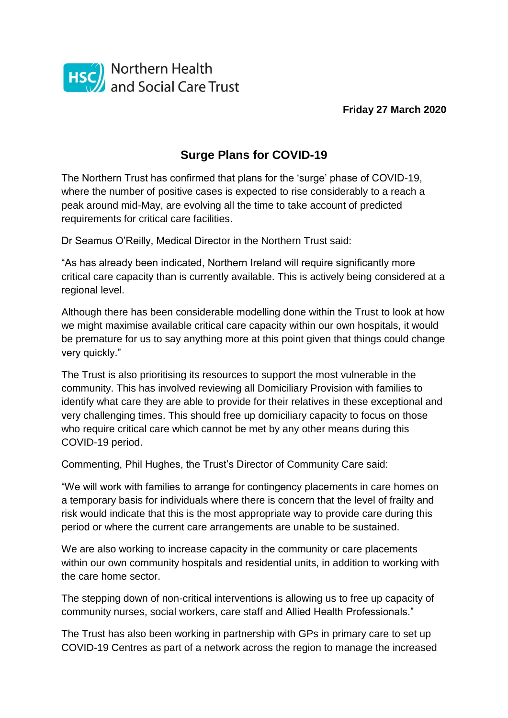

**Friday 27 March 2020**

## **Surge Plans for COVID-19**

The Northern Trust has confirmed that plans for the 'surge' phase of COVID-19, where the number of positive cases is expected to rise considerably to a reach a peak around mid-May, are evolving all the time to take account of predicted requirements for critical care facilities.

Dr Seamus O'Reilly, Medical Director in the Northern Trust said:

"As has already been indicated, Northern Ireland will require significantly more critical care capacity than is currently available. This is actively being considered at a regional level.

Although there has been considerable modelling done within the Trust to look at how we might maximise available critical care capacity within our own hospitals, it would be premature for us to say anything more at this point given that things could change very quickly."

The Trust is also prioritising its resources to support the most vulnerable in the community. This has involved reviewing all Domiciliary Provision with families to identify what care they are able to provide for their relatives in these exceptional and very challenging times. This should free up domiciliary capacity to focus on those who require critical care which cannot be met by any other means during this COVID-19 period.

Commenting, Phil Hughes, the Trust's Director of Community Care said:

"We will work with families to arrange for contingency placements in care homes on a temporary basis for individuals where there is concern that the level of frailty and risk would indicate that this is the most appropriate way to provide care during this period or where the current care arrangements are unable to be sustained.

We are also working to increase capacity in the community or care placements within our own community hospitals and residential units, in addition to working with the care home sector.

The stepping down of non-critical interventions is allowing us to free up capacity of community nurses, social workers, care staff and Allied Health Professionals."

The Trust has also been working in partnership with GPs in primary care to set up COVID-19 Centres as part of a network across the region to manage the increased